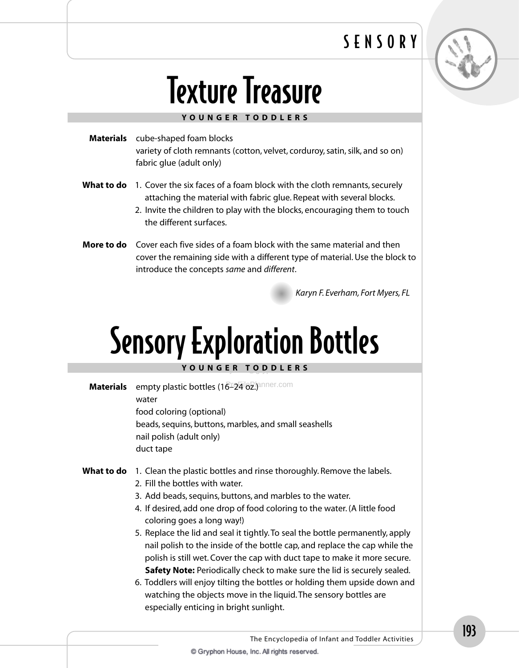### SENSORY



# **Texture Treasure**

#### YOUNGER TODDLERS

| <b>Materials</b> cube-shaped foam blocks                                                                                                                    |
|-------------------------------------------------------------------------------------------------------------------------------------------------------------|
| variety of cloth remnants (cotton, velvet, corduroy, satin, silk, and so on)<br>fabric glue (adult only)                                                    |
| What to do 1. Cover the six faces of a foam block with the cloth remnants, securely<br>attaching the material with fabric glue. Repeat with several blocks. |
| 2. Invite the children to play with the blocks, encouraging them to touch                                                                                   |

More to do Cover each five sides of a foam block with the same material and then cover the remaining side with a different type of material. Use the block to introduce the concepts same and different.

Karyn F. Everham, Fort Myers, FL

## **Sensory Exploration Bottles** YOUNGER TODDLERS

empty plastic bottles (16-124 62.) anner.com **Materials** water food coloring (optional) beads, sequins, buttons, marbles, and small seashells nail polish (adult only) duct tape

#### **What to do** 1. Clean the plastic bottles and rinse thoroughly. Remove the labels.

2. Fill the bottles with water.

the different surfaces.

- 3. Add beads, sequins, buttons, and marbles to the water.
- 4. If desired, add one drop of food coloring to the water. (A little food coloring goes a long way!)
- 5. Replace the lid and seal it tightly. To seal the bottle permanently, apply nail polish to the inside of the bottle cap, and replace the cap while the polish is still wet. Cover the cap with duct tape to make it more secure. **Safety Note:** Periodically check to make sure the lid is securely sealed.
- 6. Toddlers will enjoy tilting the bottles or holding them upside down and watching the objects move in the liquid. The sensory bottles are especially enticing in bright sunlight.